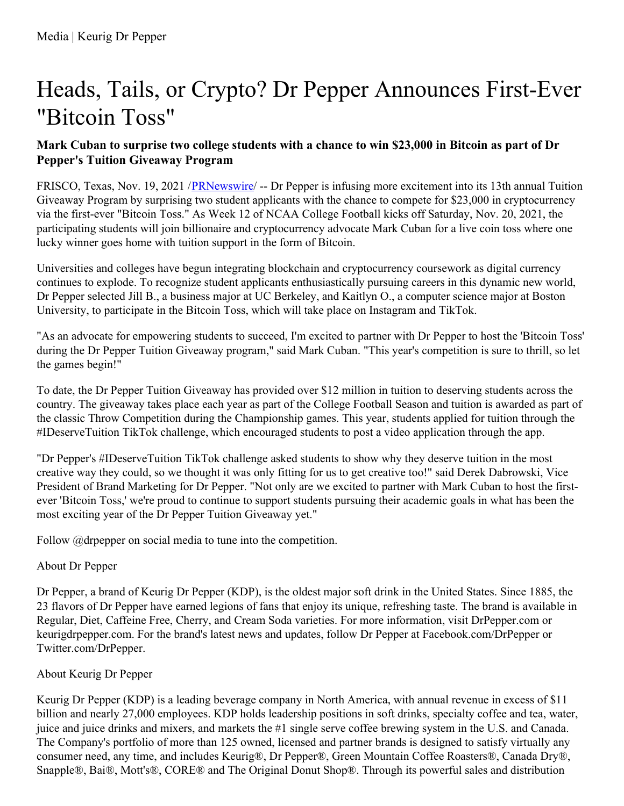# Heads, Tails, or Crypto? Dr Pepper Announces First-Ever "Bitcoin Toss"

#### Mark Cuban to surprise two college students with a chance to win \$23,000 in Bitcoin as part of Dr **Pepper's Tuition Giveaway Program**

FRISCO, Texas, Nov. 19, 2021 /[PRNewswire](http://www.prnewswire.com/)/ -- Dr Pepper is infusing more excitement into its 13th annual Tuition Giveaway Program by surprising two student applicants with the chance to compete for \$23,000 in cryptocurrency via the first-ever "Bitcoin Toss." As Week 12 of NCAA College Football kicks off Saturday, Nov. 20, 2021, the participating students will join billionaire and cryptocurrency advocate Mark Cuban for a live coin toss where one lucky winner goes home with tuition support in the form of Bitcoin.

Universities and colleges have begun integrating blockchain and cryptocurrency coursework as digital currency continues to explode. To recognize student applicants enthusiastically pursuing careers in this dynamic new world, Dr Pepper selected Jill B., a business major at UC Berkeley, and Kaitlyn O., a computer science major at Boston University, to participate in the Bitcoin Toss, which will take place on Instagram and TikTok.

"As an advocate for empowering students to succeed, I'm excited to partner with Dr Pepper to host the 'Bitcoin Toss' during the Dr Pepper Tuition Giveaway program," said Mark Cuban. "This year's competition is sure to thrill, so let the games begin!"

To date, the Dr Pepper Tuition Giveaway has provided over \$12 million in tuition to deserving students across the country. The giveaway takes place each year as part of the College Football Season and tuition is awarded as part of the classic Throw Competition during the Championship games. This year, students applied for tuition through the #IDeserveTuition TikTok challenge, which encouraged students to post a video application through the app.

"Dr Pepper's #IDeserveTuition TikTok challenge asked students to show why they deserve tuition in the most creative way they could, so we thought it was only fitting for us to get creative too!" said Derek Dabrowski, Vice President of Brand Marketing for Dr Pepper. "Not only are we excited to partner with Mark Cuban to host the firstever 'Bitcoin Toss,' we're proud to continue to support students pursuing their academic goals in what has been the most exciting year of the Dr Pepper Tuition Giveaway yet."

Follow @drpepper on social media to tune into the competition.

## About Dr Pepper

Dr Pepper, a brand of Keurig Dr Pepper (KDP), is the oldest major soft drink in the United States. Since 1885, the 23 flavors of Dr Pepper have earned legions of fans that enjoy its unique, refreshing taste. The brand is available in Regular, Diet, Caffeine Free, Cherry, and Cream Soda varieties. For more information, visit DrPepper.com or keurigdrpepper.com. For the brand's latest news and updates, follow Dr Pepper at Facebook.com/DrPepper or Twitter.com/DrPepper.

## About Keurig Dr Pepper

Keurig Dr Pepper (KDP) is a leading beverage company in North America, with annual revenue in excess of \$11 billion and nearly 27,000 employees. KDP holds leadership positions in soft drinks, specialty coffee and tea, water, juice and juice drinks and mixers, and markets the #1 single serve coffee brewing system in the U.S. and Canada. The Company's portfolio of more than 125 owned, licensed and partner brands is designed to satisfy virtually any consumer need, any time, and includes Keurig®, Dr Pepper®, Green Mountain Coffee Roasters®, Canada Dry®, Snapple®, Bai®, Mott's®, CORE® and The Original Donut Shop®. Through its powerful sales and distribution